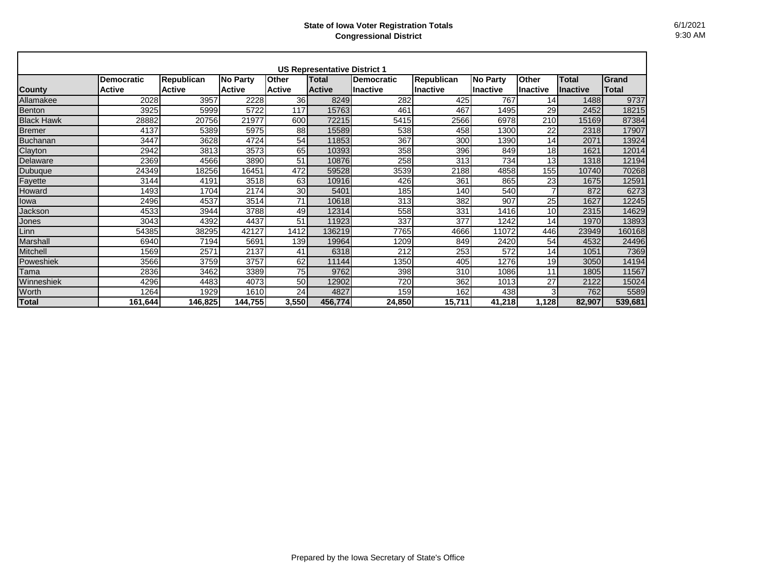|                   |                                    |                                    |                                  |                               | <b>US Representative District 1</b> |                                      |                                      |                                    |                          |                                 |                       |
|-------------------|------------------------------------|------------------------------------|----------------------------------|-------------------------------|-------------------------------------|--------------------------------------|--------------------------------------|------------------------------------|--------------------------|---------------------------------|-----------------------|
| <b>County</b>     | <b>Democratic</b><br><b>Active</b> | <b>Republican</b><br><b>Active</b> | <b>No Party</b><br><b>Active</b> | <b>Other</b><br><b>Active</b> | <b>Total</b><br><b>Active</b>       | <b>Democratic</b><br><b>Inactive</b> | <b>Republican</b><br><b>Inactive</b> | <b>No Party</b><br><b>Inactive</b> | Other<br><b>Inactive</b> | <b>Total</b><br><b>Inactive</b> | Grand<br><b>Total</b> |
| Allamakee         | 2028                               | 3957                               | 2228                             | 36                            | 8249                                | 282                                  | 425                                  | 767                                | 14 <sup>1</sup>          | 1488                            | 9737                  |
| Benton            | 3925                               | 5999                               | 5722                             | 117                           | 15763                               | 461                                  | 467                                  | 1495                               | 29                       | 2452                            | 18215                 |
| <b>Black Hawk</b> | 28882                              | 20756                              | 21977                            | 600                           | 72215                               | 5415                                 | 2566                                 | 6978                               | 210                      | 15169                           | 87384                 |
| <b>Bremer</b>     | 4137                               | 5389                               | 5975                             | 88                            | 15589                               | 538                                  | 458                                  | 1300                               | 22                       | 2318                            | 17907                 |
| Buchanan          | 3447                               | 3628                               | 4724                             | 54                            | 11853                               | 367                                  | 300                                  | 1390                               | 14                       | 2071                            | 13924                 |
| Clayton           | 2942                               | 3813                               | 3573                             | 65                            | 10393                               | 358                                  | 396                                  | 849                                | 18                       | 1621                            | 12014                 |
| Delaware          | 2369                               | 4566                               | 3890                             | 51                            | 10876                               | 258                                  | 313                                  | 734                                | 13                       | 1318                            | 12194                 |
| Dubuque           | 24349                              | 18256                              | 16451                            | 472                           | 59528                               | 3539                                 | 2188                                 | 4858                               | 155                      | 10740                           | 70268                 |
| Fayette           | 3144                               | 4191                               | 3518                             | 63                            | 10916                               | 426                                  | 361                                  | 865                                | 23                       | 1675                            | 12591                 |
| Howard            | 1493                               | 1704                               | 2174                             | 30 <sub>l</sub>               | 5401                                | 185                                  | 140                                  | 540                                | $\overline{7}$           | 872                             | 6273                  |
| lowa              | 2496                               | 4537                               | 3514                             | 71                            | 10618                               | 313                                  | 382                                  | 907                                | 25                       | 1627                            | 12245                 |
| Jackson           | 4533                               | 3944                               | 3788                             | 49                            | 12314                               | 558                                  | 331                                  | 1416                               | 10                       | 2315                            | 14629                 |
| Jones             | 3043                               | 4392                               | 4437                             | 51                            | 11923                               | 337                                  | 377                                  | 1242                               | 14                       | 1970                            | 13893                 |
| Linn              | 54385                              | 38295                              | 42127                            | 1412                          | 136219                              | 7765                                 | 4666                                 | 11072                              | 446                      | 23949                           | 160168                |
| Marshall          | 6940                               | 7194                               | 5691                             | 139                           | 19964                               | 1209                                 | 849                                  | 2420                               | 54                       | 4532                            | 24496                 |
| Mitchell          | 1569                               | 2571                               | 2137                             | 41                            | 6318                                | 212                                  | 253                                  | 572                                | 14                       | 1051                            | 7369                  |
| Poweshiek         | 3566                               | 3759                               | 3757                             | 62                            | 11144                               | 1350                                 | 405                                  | 1276                               | 19                       | 3050                            | 14194                 |
| Tama              | 2836                               | 3462                               | 3389                             | $\overline{75}$               | 9762                                | 398                                  | 310                                  | 1086                               | 11                       | 1805                            | 11567                 |
| Winneshiek        | 4296                               | 4483                               | 4073                             | 50                            | 12902                               | 720                                  | 362                                  | 1013                               | 27                       | 2122                            | 15024                 |
| Worth             | 1264                               | 1929                               | 1610                             | 24                            | 4827                                | 159                                  | 162                                  | 438                                | 3 <sup>1</sup>           | 762                             | 5589                  |
| Total             | 161,644                            | 146,825                            | 144,755                          | 3,550                         | 456,774                             | 24,850                               | 15,711                               | 41,218                             | 1,128                    | 82,907                          | 539,681               |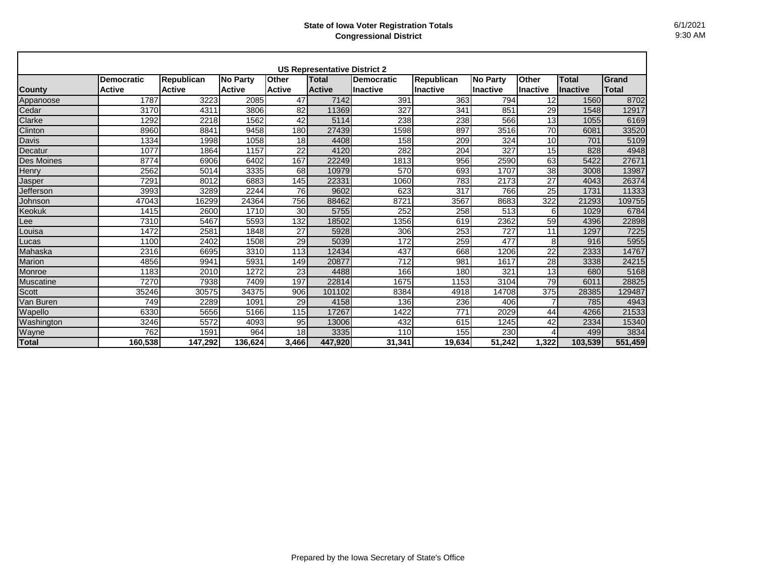| <b>US Representative District 2</b> |                                    |                                    |                           |                        |                               |                         |                                      |                                    |                                 |                                 |                |
|-------------------------------------|------------------------------------|------------------------------------|---------------------------|------------------------|-------------------------------|-------------------------|--------------------------------------|------------------------------------|---------------------------------|---------------------------------|----------------|
| <b>County</b>                       | <b>Democratic</b><br><b>Active</b> | <b>Republican</b><br><b>Active</b> | No Party<br><b>Active</b> | Other<br><b>Active</b> | <b>Total</b><br><b>Active</b> | Democratic<br>Ilnactive | <b>Republican</b><br><b>Inactive</b> | <b>No Party</b><br><b>Inactive</b> | <b>Other</b><br><b>Inactive</b> | <b>Total</b><br><b>Inactive</b> | Grand<br>Total |
| Appanoose                           | 1787                               | 3223                               | 2085                      | 47                     | 7142                          | 391                     | 363                                  | 794                                | 12                              | 1560                            | 8702           |
| Cedar                               | 3170                               | 4311                               | 3806                      | 82                     | 11369                         | 327                     | 341                                  | 851                                | 29                              | 1548                            | 12917          |
| Clarke                              | 1292                               | 2218                               | 1562                      | 42                     | 5114                          | 238                     | 238                                  | 566                                | 13                              | 1055                            | 6169           |
| Clinton                             | 8960                               | 8841                               | 9458                      | 180                    | 27439                         | 1598                    | 897                                  | 3516                               | 70                              | 6081                            | 33520          |
| <b>Davis</b>                        | 1334                               | 1998                               | 1058                      | 18                     | 4408                          | 158                     | 209                                  | 324                                | 10                              | 701                             | 5109           |
| Decatur                             | 1077                               | 1864                               | 1157                      | 22                     | 4120                          | 282                     | 204                                  | 327                                | 15                              | 828                             | 4948           |
| Des Moines                          | 8774                               | 6906                               | 6402                      | 167                    | 22249                         | 1813                    | 956                                  | 2590                               | 63                              | 5422                            | 27671          |
| Henry                               | 2562                               | 5014                               | 3335                      | 68                     | 10979                         | 570                     | 693                                  | 1707                               | 38                              | 3008                            | 13987          |
| Jasper                              | 7291                               | 8012                               | 6883                      | 145                    | 22331                         | 1060                    | 783                                  | 2173                               | 27                              | 4043                            | 26374          |
| Jefferson                           | 3993                               | 3289                               | 2244                      | 76                     | 9602                          | 623                     | 317                                  | 766                                | 25                              | 1731                            | 11333          |
| Johnson                             | 47043                              | 16299                              | 24364                     | 756                    | 88462                         | 8721                    | 3567                                 | 8683                               | 322                             | 21293                           | 109755         |
| Keokuk                              | 1415                               | 2600                               | 1710                      | 30                     | 5755                          | 252                     | 258                                  | 513                                | 6                               | 1029                            | 6784           |
| Lee                                 | 7310                               | 5467                               | 5593                      | 132                    | 18502                         | 1356                    | 619                                  | 2362                               | 59                              | 4396                            | 22898          |
| Louisa                              | 1472                               | 2581                               | 1848                      | 27                     | 5928                          | 306                     | 253                                  | 727                                | 11                              | 1297                            | 7225           |
| Lucas                               | 1100                               | 2402                               | 1508                      | 29                     | 5039                          | 172                     | 259                                  | 477                                | 8                               | 916                             | 5955           |
| Mahaska                             | 2316                               | 6695                               | 3310                      | 113                    | 12434                         | 437                     | 668                                  | 1206                               | 22                              | 2333                            | 14767          |
| <b>Marion</b>                       | 4856                               | 9941                               | 5931                      | 149                    | 20877                         | 712                     | 981                                  | 1617                               | 28                              | 3338                            | 24215          |
| Monroe                              | 1183                               | 2010                               | 1272                      | 23                     | 4488                          | 166                     | 180                                  | 321                                | 13                              | 680                             | 5168           |
| <b>Muscatine</b>                    | 7270                               | 7938                               | 7409                      | 197                    | 22814                         | 1675                    | 1153                                 | 3104                               | $\overline{79}$                 | 6011                            | 28825          |
| Scott                               | 35246                              | 30575                              | 34375                     | 906                    | 101102                        | 8384                    | 4918                                 | 14708                              | 375                             | 28385                           | 129487         |
| Van Buren                           | 749                                | 2289                               | 1091                      | 29                     | 4158                          | 136                     | 236                                  | 406                                | $\overline{7}$                  | 785                             | 4943           |
| Wapello                             | 6330                               | 5656                               | 5166                      | 115                    | 17267                         | 1422                    | 771                                  | 2029                               | 44                              | 4266                            | 21533          |
| Washington                          | 3246                               | 5572                               | 4093                      | 95                     | 13006                         | 432                     | 615                                  | 1245                               | 42                              | 2334                            | 15340          |
| Wayne                               | 762                                | 1591                               | 964                       | 18                     | 3335                          | 110                     | 155                                  | 230                                | 4                               | 499                             | 3834           |
| <b>Total</b>                        | 160,538                            | 147,292                            | 136,624                   | 3,466                  | 447,920                       | 31,341                  | 19,634                               | 51.242                             | 1.322                           | 103,539                         | 551,459        |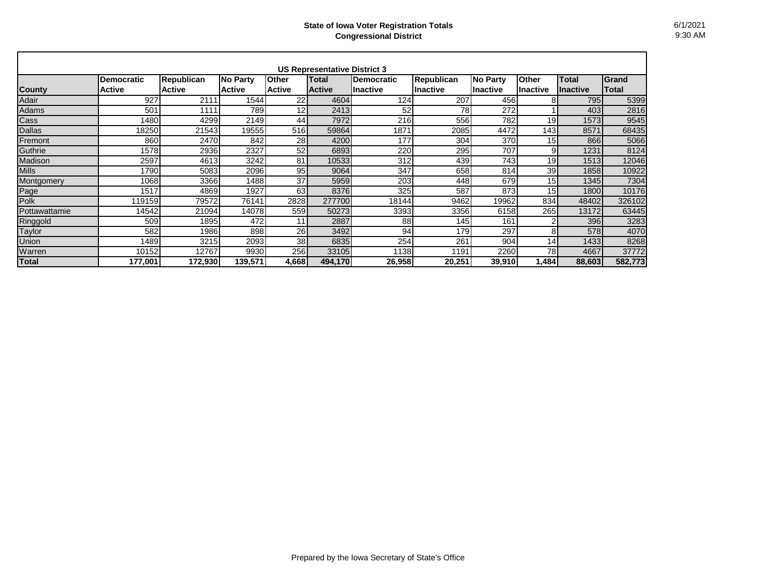| <b>US Representative District 3</b> |                                    |                                    |                                  |                               |                        |                                |                               |                              |                          |                           |                |
|-------------------------------------|------------------------------------|------------------------------------|----------------------------------|-------------------------------|------------------------|--------------------------------|-------------------------------|------------------------------|--------------------------|---------------------------|----------------|
| <b>County</b>                       | <b>Democratic</b><br><b>Active</b> | <b>Republican</b><br><b>Active</b> | <b>No Party</b><br><b>Active</b> | <b>Other</b><br><b>Active</b> | Total<br><b>Active</b> | <b>Democratic</b><br>lInactive | <b>Republican</b><br>Inactive | <b>No Party</b><br>Ilnactive | Other<br><b>Inactive</b> | <b>Total</b><br>llnactive | Grand<br>Total |
| Adair                               | 927                                | 2111                               | 1544                             | 22                            | 4604                   | 124                            | 207                           | 456                          | 8                        | 795                       | 5399           |
| Adams                               | 501                                | 1111                               | 789                              | 12                            | 2413                   | 52                             | 78                            | 272                          |                          | 403                       | 2816           |
| Cass                                | 1480                               | 4299                               | 2149                             | 44                            | 7972                   | 216                            | 556                           | 782                          | 19                       | 1573                      | 9545           |
| <b>Dallas</b>                       | 18250                              | 21543                              | 19555                            | 516                           | 59864                  | 1871                           | 2085                          | 4472                         | 143                      | 8571                      | 68435          |
| Fremont                             | 860                                | 2470                               | 842                              | 28                            | 4200                   | 177                            | 304                           | 370                          | 15                       | 866                       | 5066           |
| Guthrie                             | 1578                               | 2936                               | 2327                             | 52                            | 6893                   | 220                            | 295                           | 707                          | 9                        | 1231                      | 8124           |
| Madison                             | 2597                               | 4613                               | 3242                             | 81                            | 10533                  | 312                            | 439                           | 743                          | 19                       | 1513                      | 12046          |
| <b>Mills</b>                        | 1790                               | 5083                               | 2096                             | 95                            | 9064                   | 347                            | 658                           | 814                          | 39                       | 1858                      | 10922          |
| Montgomery                          | 1068                               | 3366                               | 1488                             | 37                            | 5959                   | 203                            | 448                           | 679                          | 15                       | 1345                      | 7304           |
| Page                                | 1517                               | 4869                               | 1927                             | 63                            | 8376                   | 325                            | 587                           | 873                          | 15                       | 1800                      | 10176          |
| Polk                                | 119159                             | 79572                              | 76141                            | 2828                          | 277700                 | 18144                          | 9462                          | 19962                        | 834                      | 48402                     | 326102         |
| Pottawattamie                       | 14542                              | 21094                              | 14078                            | 559                           | 50273                  | 3393                           | 3356                          | 6158                         | 265                      | 13172                     | 63445          |
| Ringgold                            | 509                                | 1895                               | 472                              | 11                            | 2887                   | 88                             | 145                           | 161                          | 2                        | 396                       | 3283           |
| Taylor                              | 582                                | 1986                               | 898                              | <b>26</b>                     | 3492                   | 94                             | 179                           | 297                          | 8                        | 578                       | 4070           |
| <b>Union</b>                        | 1489                               | 3215                               | 2093                             | 38                            | 6835                   | 254                            | 261                           | 904                          | 14                       | 1433                      | 8268           |
| Warren                              | 10152                              | 12767                              | 9930                             | 256                           | 33105                  | 1138                           | 1191                          | 2260                         | 78                       | 4667                      | 37772          |
| Total                               | 177,001                            | 172,930                            | 139,571                          | 4,668                         | 494,170                | 26,958                         | 20,251                        | 39,910                       | 1,484                    | 88,603                    | 582,773        |